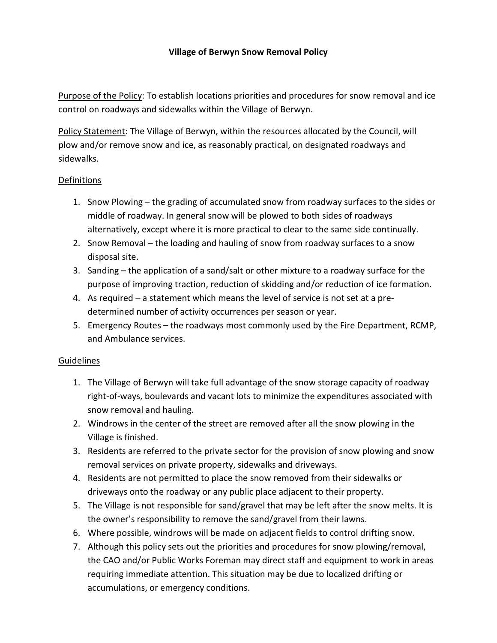## Village of Berwyn Snow Removal Policy

Purpose of the Policy: To establish locations priorities and procedures for snow removal and ice control on roadways and sidewalks within the Village of Berwyn.

Policy Statement: The Village of Berwyn, within the resources allocated by the Council, will plow and/or remove snow and ice, as reasonably practical, on designated roadways and sidewalks.

## Definitions

- 1. Snow Plowing the grading of accumulated snow from roadway surfaces to the sides or middle of roadway. In general snow will be plowed to both sides of roadways alternatively, except where it is more practical to clear to the same side continually.
- 2. Snow Removal the loading and hauling of snow from roadway surfaces to a snow disposal site.
- 3. Sanding the application of a sand/salt or other mixture to a roadway surface for the purpose of improving traction, reduction of skidding and/or reduction of ice formation.
- 4. As required a statement which means the level of service is not set at a predetermined number of activity occurrences per season or year.
- 5. Emergency Routes the roadways most commonly used by the Fire Department, RCMP, and Ambulance services.

## **Guidelines**

- 1. The Village of Berwyn will take full advantage of the snow storage capacity of roadway right-of-ways, boulevards and vacant lots to minimize the expenditures associated with snow removal and hauling.
- 2. Windrows in the center of the street are removed after all the snow plowing in the Village is finished.
- 3. Residents are referred to the private sector for the provision of snow plowing and snow removal services on private property, sidewalks and driveways.
- 4. Residents are not permitted to place the snow removed from their sidewalks or driveways onto the roadway or any public place adjacent to their property.
- 5. The Village is not responsible for sand/gravel that may be left after the snow melts. It is the owner's responsibility to remove the sand/gravel from their lawns.
- 6. Where possible, windrows will be made on adjacent fields to control drifting snow.
- 7. Although this policy sets out the priorities and procedures for snow plowing/removal, the CAO and/or Public Works Foreman may direct staff and equipment to work in areas requiring immediate attention. This situation may be due to localized drifting or accumulations, or emergency conditions.